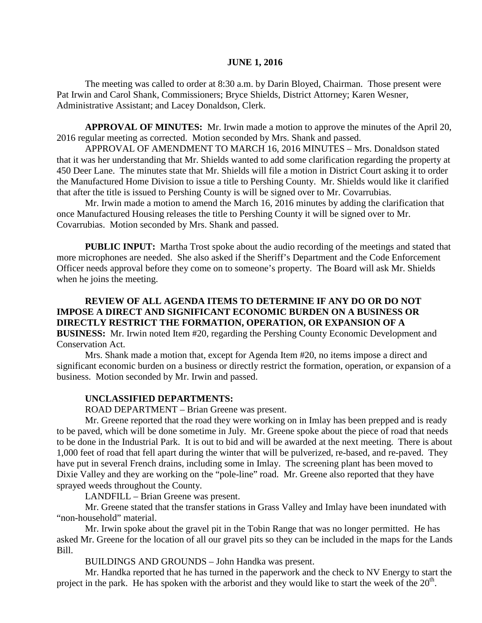#### **JUNE 1, 2016**

The meeting was called to order at 8:30 a.m. by Darin Bloyed, Chairman. Those present were Pat Irwin and Carol Shank, Commissioners; Bryce Shields, District Attorney; Karen Wesner, Administrative Assistant; and Lacey Donaldson, Clerk.

**APPROVAL OF MINUTES:** Mr. Irwin made a motion to approve the minutes of the April 20, 2016 regular meeting as corrected. Motion seconded by Mrs. Shank and passed.

APPROVAL OF AMENDMENT TO MARCH 16, 2016 MINUTES – Mrs. Donaldson stated that it was her understanding that Mr. Shields wanted to add some clarification regarding the property at 450 Deer Lane. The minutes state that Mr. Shields will file a motion in District Court asking it to order the Manufactured Home Division to issue a title to Pershing County. Mr. Shields would like it clarified that after the title is issued to Pershing County is will be signed over to Mr. Covarrubias.

Mr. Irwin made a motion to amend the March 16, 2016 minutes by adding the clarification that once Manufactured Housing releases the title to Pershing County it will be signed over to Mr. Covarrubias. Motion seconded by Mrs. Shank and passed.

 **PUBLIC INPUT:** Martha Trost spoke about the audio recording of the meetings and stated that more microphones are needed. She also asked if the Sheriff's Department and the Code Enforcement Officer needs approval before they come on to someone's property. The Board will ask Mr. Shields when he joins the meeting.

**REVIEW OF ALL AGENDA ITEMS TO DETERMINE IF ANY DO OR DO NOT IMPOSE A DIRECT AND SIGNIFICANT ECONOMIC BURDEN ON A BUSINESS OR DIRECTLY RESTRICT THE FORMATION, OPERATION, OR EXPANSION OF A BUSINESS:** Mr. Irwin noted Item #20, regarding the Pershing County Economic Development and Conservation Act.

Mrs. Shank made a motion that, except for Agenda Item #20, no items impose a direct and significant economic burden on a business or directly restrict the formation, operation, or expansion of a business. Motion seconded by Mr. Irwin and passed.

#### **UNCLASSIFIED DEPARTMENTS:**

ROAD DEPARTMENT – Brian Greene was present.

Mr. Greene reported that the road they were working on in Imlay has been prepped and is ready to be paved, which will be done sometime in July. Mr. Greene spoke about the piece of road that needs to be done in the Industrial Park. It is out to bid and will be awarded at the next meeting. There is about 1,000 feet of road that fell apart during the winter that will be pulverized, re-based, and re-paved. They have put in several French drains, including some in Imlay. The screening plant has been moved to Dixie Valley and they are working on the "pole-line" road. Mr. Greene also reported that they have sprayed weeds throughout the County.

LANDFILL – Brian Greene was present.

Mr. Greene stated that the transfer stations in Grass Valley and Imlay have been inundated with "non-household" material.

Mr. Irwin spoke about the gravel pit in the Tobin Range that was no longer permitted. He has asked Mr. Greene for the location of all our gravel pits so they can be included in the maps for the Lands Bill.

BUILDINGS AND GROUNDS – John Handka was present.

Mr. Handka reported that he has turned in the paperwork and the check to NV Energy to start the project in the park. He has spoken with the arborist and they would like to start the week of the  $20<sup>th</sup>$ .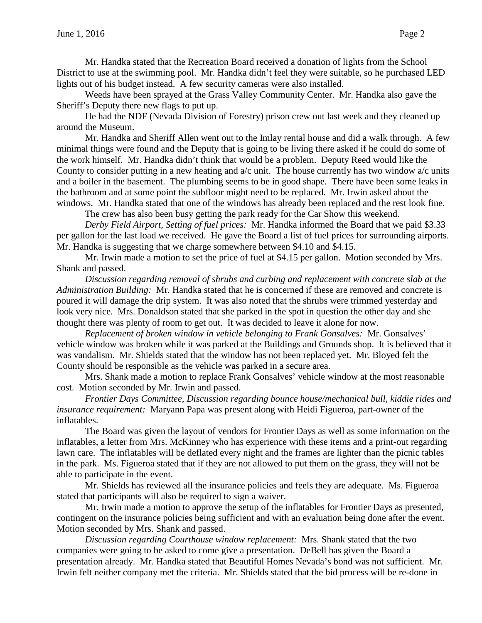Mr. Handka stated that the Recreation Board received a donation of lights from the School District to use at the swimming pool. Mr. Handka didn't feel they were suitable, so he purchased LED lights out of his budget instead. A few security cameras were also installed.

Weeds have been sprayed at the Grass Valley Community Center. Mr. Handka also gave the Sheriff's Deputy there new flags to put up.

He had the NDF (Nevada Division of Forestry) prison crew out last week and they cleaned up around the Museum.

Mr. Handka and Sheriff Allen went out to the Imlay rental house and did a walk through. A few minimal things were found and the Deputy that is going to be living there asked if he could do some of the work himself. Mr. Handka didn't think that would be a problem. Deputy Reed would like the County to consider putting in a new heating and a/c unit. The house currently has two window a/c units and a boiler in the basement. The plumbing seems to be in good shape. There have been some leaks in the bathroom and at some point the subfloor might need to be replaced. Mr. Irwin asked about the windows. Mr. Handka stated that one of the windows has already been replaced and the rest look fine.

The crew has also been busy getting the park ready for the Car Show this weekend.

*Derby Field Airport, Setting of fuel prices:* Mr. Handka informed the Board that we paid \$3.33 per gallon for the last load we received. He gave the Board a list of fuel prices for surrounding airports. Mr. Handka is suggesting that we charge somewhere between \$4.10 and \$4.15.

Mr. Irwin made a motion to set the price of fuel at \$4.15 per gallon. Motion seconded by Mrs. Shank and passed.

*Discussion regarding removal of shrubs and curbing and replacement with concrete slab at the Administration Building:* Mr. Handka stated that he is concerned if these are removed and concrete is poured it will damage the drip system. It was also noted that the shrubs were trimmed yesterday and look very nice. Mrs. Donaldson stated that she parked in the spot in question the other day and she thought there was plenty of room to get out. It was decided to leave it alone for now.

*Replacement of broken window in vehicle belonging to Frank Gonsalves:* Mr. Gonsalves' vehicle window was broken while it was parked at the Buildings and Grounds shop. It is believed that it was vandalism. Mr. Shields stated that the window has not been replaced yet. Mr. Bloyed felt the County should be responsible as the vehicle was parked in a secure area.

Mrs. Shank made a motion to replace Frank Gonsalves' vehicle window at the most reasonable cost. Motion seconded by Mr. Irwin and passed.

*Frontier Days Committee, Discussion regarding bounce house/mechanical bull, kiddie rides and insurance requirement:* Maryann Papa was present along with Heidi Figueroa, part-owner of the inflatables.

The Board was given the layout of vendors for Frontier Days as well as some information on the inflatables, a letter from Mrs. McKinney who has experience with these items and a print-out regarding lawn care. The inflatables will be deflated every night and the frames are lighter than the picnic tables in the park. Ms. Figueroa stated that if they are not allowed to put them on the grass, they will not be able to participate in the event.

Mr. Shields has reviewed all the insurance policies and feels they are adequate. Ms. Figueroa stated that participants will also be required to sign a waiver.

Mr. Irwin made a motion to approve the setup of the inflatables for Frontier Days as presented, contingent on the insurance policies being sufficient and with an evaluation being done after the event. Motion seconded by Mrs. Shank and passed.

*Discussion regarding Courthouse window replacement:* Mrs. Shank stated that the two companies were going to be asked to come give a presentation. DeBell has given the Board a presentation already. Mr. Handka stated that Beautiful Homes Nevada's bond was not sufficient. Mr. Irwin felt neither company met the criteria. Mr. Shields stated that the bid process will be re-done in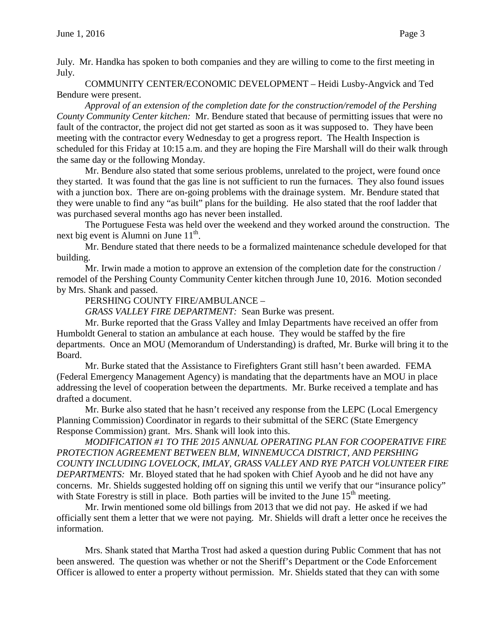July. Mr. Handka has spoken to both companies and they are willing to come to the first meeting in July.

COMMUNITY CENTER/ECONOMIC DEVELOPMENT – Heidi Lusby-Angvick and Ted Bendure were present.

*Approval of an extension of the completion date for the construction/remodel of the Pershing County Community Center kitchen:* Mr. Bendure stated that because of permitting issues that were no fault of the contractor, the project did not get started as soon as it was supposed to. They have been meeting with the contractor every Wednesday to get a progress report. The Health Inspection is scheduled for this Friday at 10:15 a.m. and they are hoping the Fire Marshall will do their walk through the same day or the following Monday.

Mr. Bendure also stated that some serious problems, unrelated to the project, were found once they started. It was found that the gas line is not sufficient to run the furnaces. They also found issues with a junction box. There are on-going problems with the drainage system. Mr. Bendure stated that they were unable to find any "as built" plans for the building. He also stated that the roof ladder that was purchased several months ago has never been installed.

The Portuguese Festa was held over the weekend and they worked around the construction. The next big event is Alumni on June  $11^{th}$ .

Mr. Bendure stated that there needs to be a formalized maintenance schedule developed for that building.

Mr. Irwin made a motion to approve an extension of the completion date for the construction / remodel of the Pershing County Community Center kitchen through June 10, 2016. Motion seconded by Mrs. Shank and passed.

PERSHING COUNTY FIRE/AMBULANCE –

*GRASS VALLEY FIRE DEPARTMENT:* Sean Burke was present.

Mr. Burke reported that the Grass Valley and Imlay Departments have received an offer from Humboldt General to station an ambulance at each house. They would be staffed by the fire departments. Once an MOU (Memorandum of Understanding) is drafted, Mr. Burke will bring it to the Board.

Mr. Burke stated that the Assistance to Firefighters Grant still hasn't been awarded. FEMA (Federal Emergency Management Agency) is mandating that the departments have an MOU in place addressing the level of cooperation between the departments. Mr. Burke received a template and has drafted a document.

Mr. Burke also stated that he hasn't received any response from the LEPC (Local Emergency Planning Commission) Coordinator in regards to their submittal of the SERC (State Emergency Response Commission) grant. Mrs. Shank will look into this.

*MODIFICATION #1 TO THE 2015 ANNUAL OPERATING PLAN FOR COOPERATIVE FIRE PROTECTION AGREEMENT BETWEEN BLM, WINNEMUCCA DISTRICT, AND PERSHING COUNTY INCLUDING LOVELOCK, IMLAY, GRASS VALLEY AND RYE PATCH VOLUNTEER FIRE DEPARTMENTS:* Mr. Bloyed stated that he had spoken with Chief Ayoob and he did not have any concerns. Mr. Shields suggested holding off on signing this until we verify that our "insurance policy" with State Forestry is still in place. Both parties will be invited to the June  $15<sup>th</sup>$  meeting.

Mr. Irwin mentioned some old billings from 2013 that we did not pay. He asked if we had officially sent them a letter that we were not paying. Mr. Shields will draft a letter once he receives the information.

Mrs. Shank stated that Martha Trost had asked a question during Public Comment that has not been answered. The question was whether or not the Sheriff's Department or the Code Enforcement Officer is allowed to enter a property without permission. Mr. Shields stated that they can with some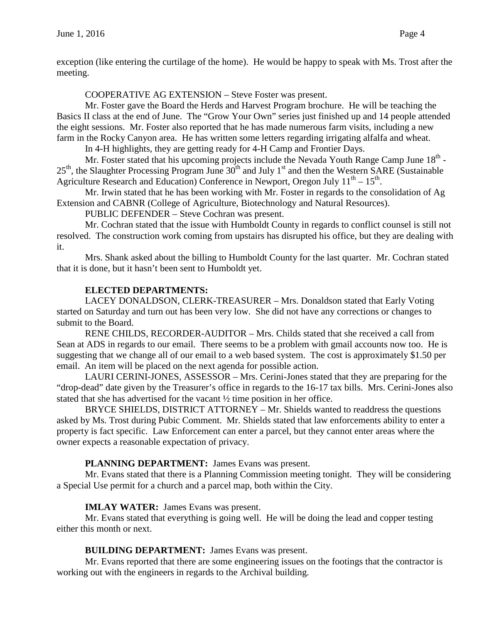exception (like entering the curtilage of the home). He would be happy to speak with Ms. Trost after the meeting.

COOPERATIVE AG EXTENSION – Steve Foster was present.

Mr. Foster gave the Board the Herds and Harvest Program brochure. He will be teaching the Basics II class at the end of June. The "Grow Your Own" series just finished up and 14 people attended the eight sessions. Mr. Foster also reported that he has made numerous farm visits, including a new farm in the Rocky Canyon area. He has written some letters regarding irrigating alfalfa and wheat.

In 4-H highlights, they are getting ready for 4-H Camp and Frontier Days.

Mr. Foster stated that his upcoming projects include the Nevada Youth Range Camp June  $18<sup>th</sup>$  - $25<sup>th</sup>$ , the Slaughter Processing Program June  $30<sup>th</sup>$  and July 1<sup>st</sup> and then the Western SARE (Sustainable Agriculture Research and Education) Conference in Newport, Oregon July  $11^{th} - 15^{th}$ .

Mr. Irwin stated that he has been working with Mr. Foster in regards to the consolidation of Ag Extension and CABNR (College of Agriculture, Biotechnology and Natural Resources).

PUBLIC DEFENDER – Steve Cochran was present.

Mr. Cochran stated that the issue with Humboldt County in regards to conflict counsel is still not resolved. The construction work coming from upstairs has disrupted his office, but they are dealing with it.

Mrs. Shank asked about the billing to Humboldt County for the last quarter. Mr. Cochran stated that it is done, but it hasn't been sent to Humboldt yet.

## **ELECTED DEPARTMENTS:**

LACEY DONALDSON, CLERK-TREASURER – Mrs. Donaldson stated that Early Voting started on Saturday and turn out has been very low. She did not have any corrections or changes to submit to the Board.

RENE CHILDS, RECORDER-AUDITOR – Mrs. Childs stated that she received a call from Sean at ADS in regards to our email. There seems to be a problem with gmail accounts now too. He is suggesting that we change all of our email to a web based system. The cost is approximately \$1.50 per email. An item will be placed on the next agenda for possible action.

LAURI CERINI-JONES, ASSESSOR – Mrs. Cerini-Jones stated that they are preparing for the "drop-dead" date given by the Treasurer's office in regards to the 16-17 tax bills. Mrs. Cerini-Jones also stated that she has advertised for the vacant ½ time position in her office.

BRYCE SHIELDS, DISTRICT ATTORNEY – Mr. Shields wanted to readdress the questions asked by Ms. Trost during Pubic Comment. Mr. Shields stated that law enforcements ability to enter a property is fact specific. Law Enforcement can enter a parcel, but they cannot enter areas where the owner expects a reasonable expectation of privacy.

## **PLANNING DEPARTMENT:** James Evans was present.

Mr. Evans stated that there is a Planning Commission meeting tonight. They will be considering a Special Use permit for a church and a parcel map, both within the City.

### **IMLAY WATER:** James Evans was present.

Mr. Evans stated that everything is going well. He will be doing the lead and copper testing either this month or next.

## **BUILDING DEPARTMENT:** James Evans was present.

Mr. Evans reported that there are some engineering issues on the footings that the contractor is working out with the engineers in regards to the Archival building.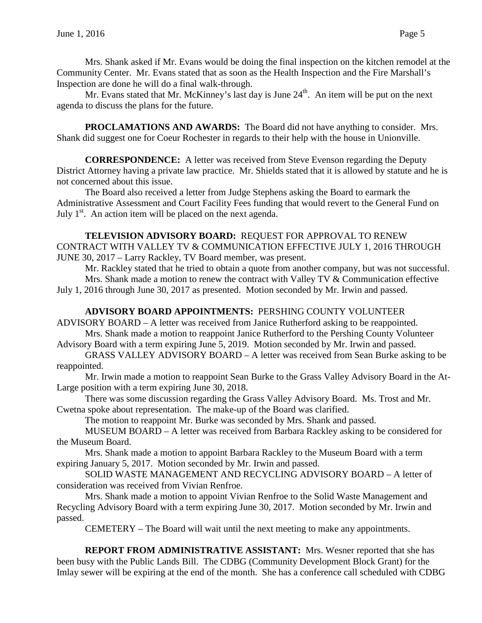Mrs. Shank asked if Mr. Evans would be doing the final inspection on the kitchen remodel at the Community Center. Mr. Evans stated that as soon as the Health Inspection and the Fire Marshall's Inspection are done he will do a final walk-through.

Mr. Evans stated that Mr. McKinney's last day is June  $24<sup>th</sup>$ . An item will be put on the next agenda to discuss the plans for the future.

**PROCLAMATIONS AND AWARDS:** The Board did not have anything to consider. Mrs. Shank did suggest one for Coeur Rochester in regards to their help with the house in Unionville.

**CORRESPONDENCE:** A letter was received from Steve Evenson regarding the Deputy District Attorney having a private law practice. Mr. Shields stated that it is allowed by statute and he is not concerned about this issue.

The Board also received a letter from Judge Stephens asking the Board to earmark the Administrative Assessment and Court Facility Fees funding that would revert to the General Fund on July  $1<sup>st</sup>$ . An action item will be placed on the next agenda.

### **TELEVISION ADVISORY BOARD:** REQUEST FOR APPROVAL TO RENEW CONTRACT WITH VALLEY TV & COMMUNICATION EFFECTIVE JULY 1, 2016 THROUGH JUNE 30, 2017 – Larry Rackley, TV Board member, was present.

Mr. Rackley stated that he tried to obtain a quote from another company, but was not successful. Mrs. Shank made a motion to renew the contract with Valley TV & Communication effective July 1, 2016 through June 30, 2017 as presented. Motion seconded by Mr. Irwin and passed.

# **ADVISORY BOARD APPOINTMENTS:** PERSHING COUNTY VOLUNTEER

ADVISORY BOARD – A letter was received from Janice Rutherford asking to be reappointed. Mrs. Shank made a motion to reappoint Janice Rutherford to the Pershing County Volunteer

Advisory Board with a term expiring June 5, 2019. Motion seconded by Mr. Irwin and passed.

GRASS VALLEY ADVISORY BOARD – A letter was received from Sean Burke asking to be reappointed.

Mr. Irwin made a motion to reappoint Sean Burke to the Grass Valley Advisory Board in the At-Large position with a term expiring June 30, 2018.

There was some discussion regarding the Grass Valley Advisory Board. Ms. Trost and Mr. Cwetna spoke about representation. The make-up of the Board was clarified.

The motion to reappoint Mr. Burke was seconded by Mrs. Shank and passed.

MUSEUM BOARD – A letter was received from Barbara Rackley asking to be considered for the Museum Board.

Mrs. Shank made a motion to appoint Barbara Rackley to the Museum Board with a term expiring January 5, 2017. Motion seconded by Mr. Irwin and passed.

SOLID WASTE MANAGEMENT AND RECYCLING ADVISORY BOARD – A letter of consideration was received from Vivian Renfroe.

Mrs. Shank made a motion to appoint Vivian Renfroe to the Solid Waste Management and Recycling Advisory Board with a term expiring June 30, 2017. Motion seconded by Mr. Irwin and passed.

CEMETERY – The Board will wait until the next meeting to make any appointments.

**REPORT FROM ADMINISTRATIVE ASSISTANT:** Mrs. Wesner reported that she has been busy with the Public Lands Bill. The CDBG (Community Development Block Grant) for the Imlay sewer will be expiring at the end of the month. She has a conference call scheduled with CDBG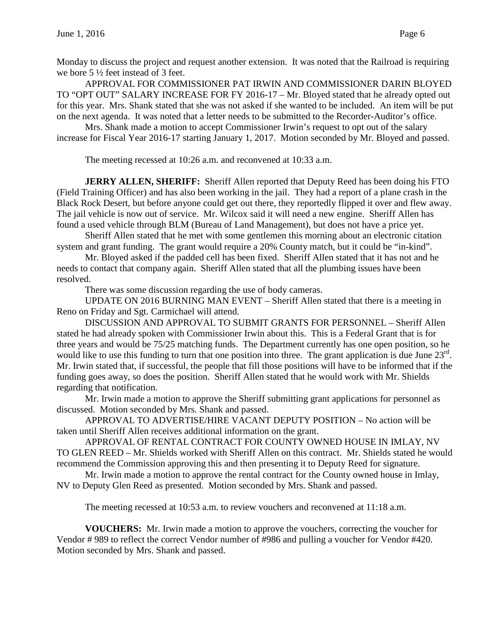Monday to discuss the project and request another extension. It was noted that the Railroad is requiring we bore 5 ½ feet instead of 3 feet.

APPROVAL FOR COMMISSIONER PAT IRWIN AND COMMISSIONER DARIN BLOYED TO "OPT OUT" SALARY INCREASE FOR FY 2016-17 – Mr. Bloyed stated that he already opted out for this year. Mrs. Shank stated that she was not asked if she wanted to be included. An item will be put on the next agenda. It was noted that a letter needs to be submitted to the Recorder-Auditor's office.

Mrs. Shank made a motion to accept Commissioner Irwin's request to opt out of the salary increase for Fiscal Year 2016-17 starting January 1, 2017. Motion seconded by Mr. Bloyed and passed.

The meeting recessed at 10:26 a.m. and reconvened at 10:33 a.m.

**JERRY ALLEN, SHERIFF:** Sheriff Allen reported that Deputy Reed has been doing his FTO (Field Training Officer) and has also been working in the jail. They had a report of a plane crash in the Black Rock Desert, but before anyone could get out there, they reportedly flipped it over and flew away. The jail vehicle is now out of service. Mr. Wilcox said it will need a new engine. Sheriff Allen has found a used vehicle through BLM (Bureau of Land Management), but does not have a price yet.

Sheriff Allen stated that he met with some gentlemen this morning about an electronic citation system and grant funding. The grant would require a 20% County match, but it could be "in-kind".

Mr. Bloyed asked if the padded cell has been fixed. Sheriff Allen stated that it has not and he needs to contact that company again. Sheriff Allen stated that all the plumbing issues have been resolved.

There was some discussion regarding the use of body cameras.

UPDATE ON 2016 BURNING MAN EVENT – Sheriff Allen stated that there is a meeting in Reno on Friday and Sgt. Carmichael will attend.

DISCUSSION AND APPROVAL TO SUBMIT GRANTS FOR PERSONNEL – Sheriff Allen stated he had already spoken with Commissioner Irwin about this. This is a Federal Grant that is for three years and would be 75/25 matching funds. The Department currently has one open position, so he would like to use this funding to turn that one position into three. The grant application is due June 23<sup>rd</sup>. Mr. Irwin stated that, if successful, the people that fill those positions will have to be informed that if the funding goes away, so does the position. Sheriff Allen stated that he would work with Mr. Shields regarding that notification.

Mr. Irwin made a motion to approve the Sheriff submitting grant applications for personnel as discussed. Motion seconded by Mrs. Shank and passed.

APPROVAL TO ADVERTISE/HIRE VACANT DEPUTY POSITION – No action will be taken until Sheriff Allen receives additional information on the grant.

APPROVAL OF RENTAL CONTRACT FOR COUNTY OWNED HOUSE IN IMLAY, NV TO GLEN REED – Mr. Shields worked with Sheriff Allen on this contract. Mr. Shields stated he would recommend the Commission approving this and then presenting it to Deputy Reed for signature.

Mr. Irwin made a motion to approve the rental contract for the County owned house in Imlay, NV to Deputy Glen Reed as presented. Motion seconded by Mrs. Shank and passed.

The meeting recessed at 10:53 a.m. to review vouchers and reconvened at 11:18 a.m.

**VOUCHERS:** Mr. Irwin made a motion to approve the vouchers, correcting the voucher for Vendor # 989 to reflect the correct Vendor number of #986 and pulling a voucher for Vendor #420. Motion seconded by Mrs. Shank and passed.